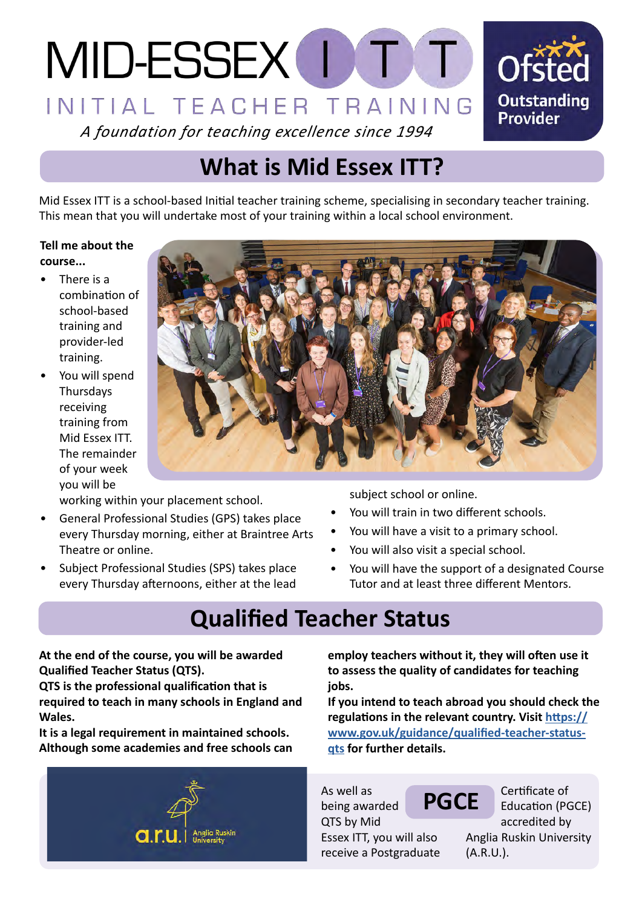



Mid Essex ITT is a school-based Initial teacher training scheme, specialising in secondary teacher training. This mean that you will undertake most of your training within a local school environment.

#### **Tell me about the course...**

- There is a combination of school-based training and provider-led training.
- You will spend Thursdays receiving training from Mid Essex ITT. The remainder of your week you will be



working within your placement school.

- General Professional Studies (GPS) takes place every Thursday morning, either at Braintree Arts Theatre or online.
- Subject Professional Studies (SPS) takes place every Thursday afternoons, either at the lead

subject school or online.

- You will train in two different schools.
- You will have a visit to a primary school.
- You will also visit a special school.
- You will have the support of a designated Course Tutor and at least three different Mentors.

# **Qualified Teacher Status**

**At the end of the course, you will be awarded Qualified Teacher Status (QTS).**

**QTS is the professional qualification that is required to teach in many schools in England and Wales.**

**It is a legal requirement in maintained schools. Although some academies and free schools can** 



**employ teachers without it, they will often use it to assess the quality of candidates for teaching jobs.**

**If you intend to teach abroad you should check the regulations in the relevant country. Visit [https://](https://www.gov.uk/guidance/qualified-teacher-status-qts) [www.gov.uk/guidance/qualified-teacher-status](https://www.gov.uk/guidance/qualified-teacher-status-qts)[qts](https://www.gov.uk/guidance/qualified-teacher-status-qts) for further details.**

As well as being awarded QTS by Mid Essex ITT, you will also receive a Postgraduate

**PGCE** Certificate of Education (PGCE) accredited by Anglia Ruskin University (A.R.U.).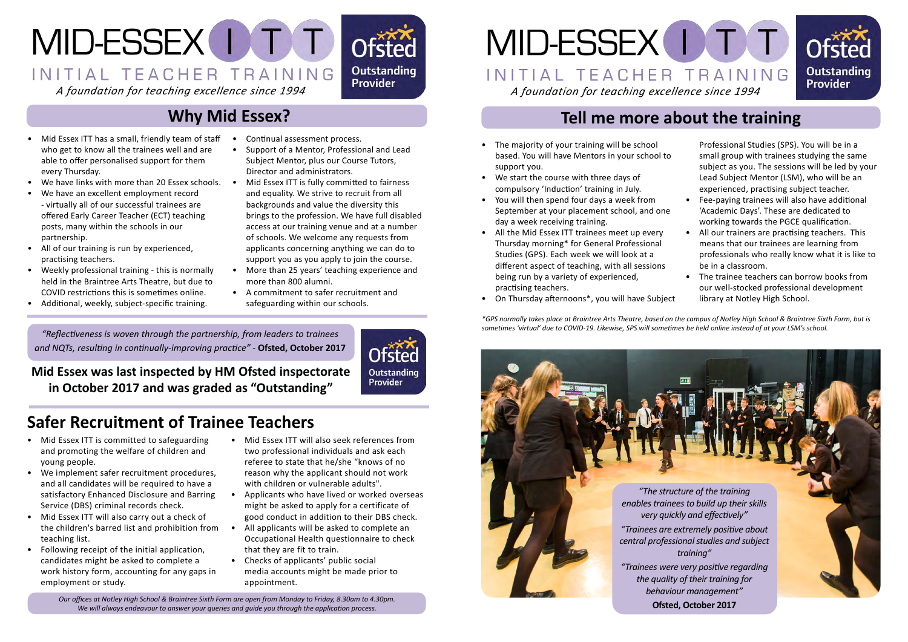

Ofstec **Outstanding** 

## **Tell me more about the training**

- The majority of your training will be school based. You will have Mentors in your school to support you.
- We start the course with three days of compulsory 'Induction' training in July.
- You will then spend four days a week from September at your placement school, and one day a week receiving training.
- All the Mid Essex ITT trainees meet up every Thursday morning\* for General Professional Studies (GPS). Each week we will look at a different aspect of teaching, with all sessions being run by a variety of experienced, practising teachers.
- On Thursday afternoons\*, you will have Subject

## INITIAL TEACHER TRAINING *A foundation for teaching excellence since 1994 A foundation for teaching excellence since 1994*

Professional Studies (SPS). You will be in a small group with trainees studying the same subject as you. The sessions will be led by your Lead Subject Mentor (LSM), who will be an experienced, practising subject teacher.

- Fee-paying trainees will also have additional 'Academic Days'. These are dedicated to working towards the PGCE qualification.
- All our trainers are practising teachers. This means that our trainees are learning from professionals who really know what it is like to be in a classroom.
- The trainee teachers can borrow books from our well-stocked professional development library at Notley High School.

# **Why Mid Essex?**







# **Safer Recruitment of Trainee Teachers**

- Mid Essex ITT has a small, friendly team of staff who get to know all the trainees well and are able to offer personalised support for them every Thursday.
- We have links with more than 20 Essex schools. Mid Essex ITT is fully committed to fairness
- We have an excellent employment record - virtually all of our successful trainees are offered Early Career Teacher (ECT) teaching posts, many within the schools in our partnership.
- All of our training is run by experienced, practising teachers.
- Weekly professional training this is normally held in the Braintree Arts Theatre, but due to COVID restrictions this is sometimes online.
- Additional, weekly, subject-specific training.

- Mid Essex ITT is committed to safeguarding and promoting the welfare of children and young people.
- We implement safer recruitment procedures, and all candidates will be required to have a satisfactory Enhanced Disclosure and Barring Service (DBS) criminal records check.
- Mid Essex ITT will also carry out a check of the children's barred list and prohibition from teaching list.
- Following receipt of the initial application, candidates might be asked to complete a work history form, accounting for any gaps in employment or study.
- Mid Essex ITT will also seek references from two professional individuals and ask each referee to state that he/she "knows of no reason why the applicant should not work with children or vulnerable adults".
- Applicants who have lived or worked overseas might be asked to apply for a certificate of good conduct in addition to their DBS check.
- All applicants will be asked to complete an Occupational Health questionnaire to check that they are fit to train.
- Checks of applicants' public social media accounts might be made prior to appointment.

*\*GPS normally takes place at Braintree Arts Theatre, based on the campus of Notley High School & Braintree Sixth Form, but is sometimes 'virtual' due to COVID-19. Likewise, SPS will sometimes be held online instead of at your LSM's school.*

- Continual assessment process.
- Support of a Mentor, Professional and Lead Subject Mentor, plus our Course Tutors, Director and administrators.
- and equality. We strive to recruit from all backgrounds and value the diversity this brings to the profession. We have full disabled access at our training venue and at a number of schools. We welcome any requests from applicants concerning anything we can do to support you as you apply to join the course.
- More than 25 years' teaching experience and more than 800 alumni.
- A commitment to safer recruitment and safeguarding within our schools.

*"Reflectiveness is woven through the partnership, from leaders to trainees and NQTs, resulting in continually-improving practice"* - **Ofsted, October 2017**



**Mid Essex was last inspected by HM Ofsted inspectorate in October 2017 and was graded as "Outstanding"**

*Our offices at Notley High School & Braintree Sixth Form are open from Monday to Friday, 8.30am to 4.30pm. We will always endeavour to answer your queries and guide you through the application process.*

MID-ESSEX I TT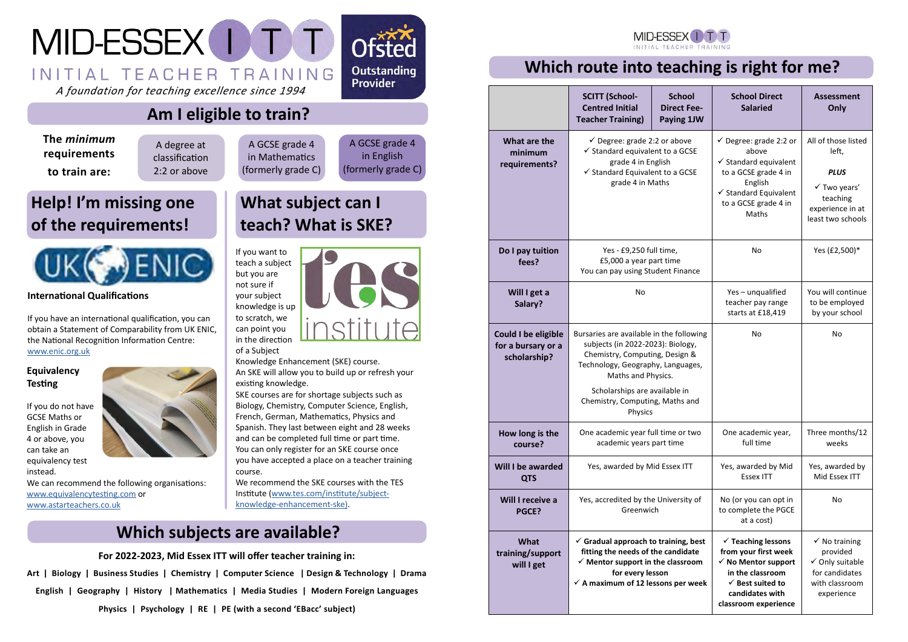

**Outstanding Provider** 

# **Which subjects are available?**

# **Am I eligible to train?**

*A foundation for teaching excellence since 1994*

**For 2022-2023, Mid Essex ITT will offer teacher training in: Art | Biology | Business Studies | Chemistry | Computer Science | Design & Technology | Drama English | Geography | History | Mathematics | Media Studies | Modern Foreign Languages**

**Physics | Psychology | RE | PE (with a second 'EBacc' subject)**

**Help! I'm missing one of the requirements!**



# **What subject can I teach? What is SKE?**

#### **International Qualifications**

If you have an international qualification, you can obtain a Statement of Comparability from UK ENIC, the National Recognition Information Centre: [www.enic.org.uk](http://www.enic.org.uk)

## **Equivalency Testing**

If you do not have GCSE Maths or English in Grade 4 or above, you can take an equivalency test instead.



We can recommend the following organisations: [www.equivalencytesting.com](https://www.equivalencytesting.com/) or [www.astarteachers.co.uk](https://www.astarteachers.co.uk/)

If you want to teach a subject but you are not sure if your subject knowledge is up to scratch, we can point you in the direction

of a Subject



Knowledge Enhancement (SKE) course. An SKE will allow you to build up or refresh your existing knowledge.

SKE courses are for shortage subjects such as Biology, Chemistry, Computer Science, English, French, German, Mathematics, Physics and Spanish. They last between eight and 28 weeks and can be completed full time or part time. You can only register for an SKE course once you have accepted a place on a teacher training course.

We recommend the SKE courses with the TES Institute [\(www.tes.com/institute/subject](https://www.tes.com/institute/subject-knowledge-enhancement-ske)[knowledge-enhancement-ske](https://www.tes.com/institute/subject-knowledge-enhancement-ske)).

|                                                           | <b>SCITT (School-</b><br><b>Centred Initial</b><br><b>Teacher Training)</b>                                                                                                                                                                               | <b>School</b><br><b>Direct Fee-</b><br>Paying 1JW | <b>School Direct</b><br><b>Salaried</b>                                                                                                                                                | <b>Assessment</b><br>Only                                                                                                   |
|-----------------------------------------------------------|-----------------------------------------------------------------------------------------------------------------------------------------------------------------------------------------------------------------------------------------------------------|---------------------------------------------------|----------------------------------------------------------------------------------------------------------------------------------------------------------------------------------------|-----------------------------------------------------------------------------------------------------------------------------|
| What are the<br>minimum<br>requirements?                  | $\checkmark$ Degree: grade 2:2 or above<br>$\checkmark$ Standard equivalent to a GCSE<br>grade 4 in English<br>$\checkmark$ Standard Equivalent to a GCSE<br>grade 4 in Maths                                                                             |                                                   | $\checkmark$ Degree: grade 2:2 or<br>above<br>$\checkmark$ Standard equivalent<br>to a GCSE grade 4 in<br>English<br>$\checkmark$ Standard Equivalent<br>to a GCSE grade 4 in<br>Maths | All of those listed<br>left,<br><b>PLUS</b><br>$\checkmark$ Two years'<br>teaching<br>experience in at<br>least two schools |
| Do I pay tuition<br>fees?                                 | Yes - £9,250 full time,<br>£5,000 a year part time<br>You can pay using Student Finance                                                                                                                                                                   |                                                   | No                                                                                                                                                                                     | Yes (£2,500)*                                                                                                               |
| Will I get a<br>Salary?                                   | No                                                                                                                                                                                                                                                        |                                                   | Yes-unqualified<br>teacher pay range<br>starts at £18,419                                                                                                                              | You will continue<br>to be employed<br>by your school                                                                       |
| Could I be eligible<br>for a bursary or a<br>scholarship? | Bursaries are available in the following<br>subjects (in 2022-2023): Biology,<br>Chemistry, Computing, Design &<br>Technology, Geography, Languages,<br>Maths and Physics.<br>Scholarships are available in<br>Chemistry, Computing, Maths and<br>Physics |                                                   | <b>No</b>                                                                                                                                                                              | No                                                                                                                          |
| How long is the<br>course?                                | One academic year full time or two<br>academic years part time                                                                                                                                                                                            |                                                   | One academic year,<br>full time                                                                                                                                                        | Three months/12<br>weeks                                                                                                    |
| Will I be awarded<br><b>QTS</b>                           | Yes, awarded by Mid Essex ITT                                                                                                                                                                                                                             |                                                   | Yes, awarded by Mid<br><b>Essex ITT</b>                                                                                                                                                | Yes, awarded by<br>Mid Essex ITT                                                                                            |
| Will I receive a<br><b>PGCE?</b>                          | Yes, accredited by the University of<br>Greenwich                                                                                                                                                                                                         |                                                   | No (or you can opt in<br>to complete the PGCE<br>at a cost)                                                                                                                            | No                                                                                                                          |
| What<br>training/support<br>will I get                    | $\checkmark$ Gradual approach to training, best<br>fitting the needs of the candidate<br>$\checkmark$ Mentor support in the classroom<br>for every lesson<br>$\checkmark$ A maximum of 12 lessons per week                                                |                                                   | $\checkmark$ Teaching lessons<br>from your first week<br>$\checkmark$ No Mentor support<br>in the classroom<br>$\checkmark$ Best suited to<br>candidates with<br>classroom experience  | $\checkmark$ No training<br>provided<br>√ Only suitable<br>for candidates<br>with classroom<br>experience                   |

# **Which route into teaching is right for me? Which route into teaching is right for me?**



**The** *minimum* **requirements to train are:**

A degree at classification 2:2 or above

A GCSE grade 4 in Mathematics (formerly grade C)

A GCSE grade 4 in English (formerly grade C)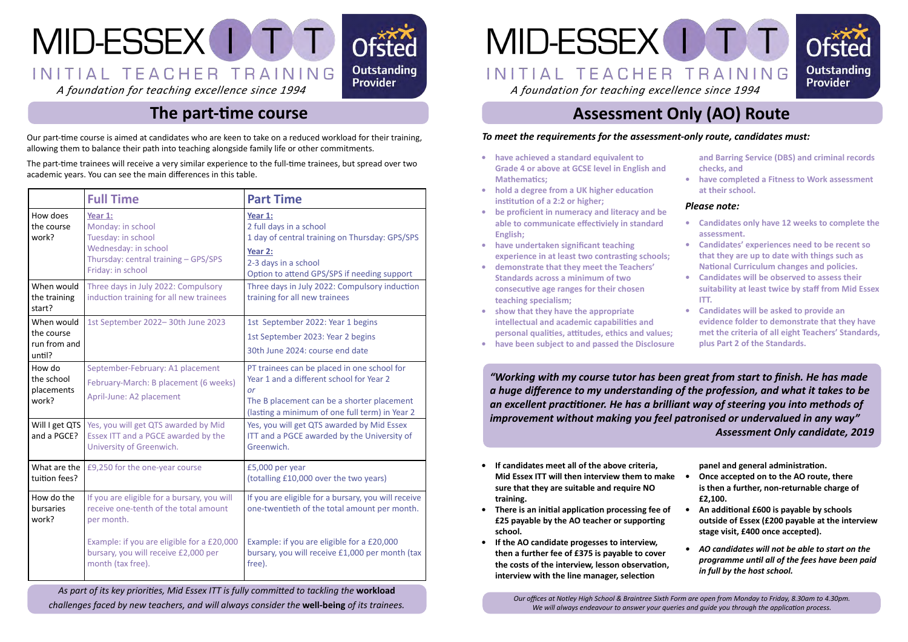

## **The part-time course**



# **Assessment Only (AO) Route**

Our part-time course is aimed at candidates who are keen to take on a reduced workload for their training, allowing them to balance their path into teaching alongside family life or other commitments.

The part-time trainees will receive a very similar experience to the full-time trainees, but spread over two academic years. You can see the main differences in this table.

|                                                    | <b>Full Time</b>                                                                                                                        | <b>Part Time</b>                                                                                                                                                                              |
|----------------------------------------------------|-----------------------------------------------------------------------------------------------------------------------------------------|-----------------------------------------------------------------------------------------------------------------------------------------------------------------------------------------------|
| How does<br>the course<br>work?                    | Year 1:<br>Monday: in school<br>Tuesday: in school<br>Wednesday: in school<br>Thursday: central training - GPS/SPS<br>Friday: in school | Year 1:<br>2 full days in a school<br>1 day of central training on Thursday: GPS/SPS<br>Year 2:<br>2-3 days in a school<br>Option to attend GPS/SPS if needing support                        |
| When would<br>the training<br>start?               | Three days in July 2022: Compulsory<br>induction training for all new trainees                                                          | Three days in July 2022: Compulsory induction<br>training for all new trainees                                                                                                                |
| When would<br>the course<br>run from and<br>until? | 1st September 2022-30th June 2023                                                                                                       | 1st September 2022: Year 1 begins<br>1st September 2023: Year 2 begins<br>30th June 2024: course end date                                                                                     |
| How do<br>the school<br>placements<br>work?        | September-February: A1 placement<br>February-March: B placement (6 weeks)<br>April-June: A2 placement                                   | PT trainees can be placed in one school for<br>Year 1 and a different school for Year 2<br>or<br>The B placement can be a shorter placement<br>(lasting a minimum of one full term) in Year 2 |
| Will I get QTS<br>and a PGCE?                      | Yes, you will get QTS awarded by Mid<br>Essex ITT and a PGCE awarded by the<br>University of Greenwich.                                 | Yes, you will get QTS awarded by Mid Essex<br>ITT and a PGCE awarded by the University of<br>Greenwich.                                                                                       |
| What are the<br>tuition fees?                      | £9,250 for the one-year course                                                                                                          | £5,000 per year<br>(totalling £10,000 over the two years)                                                                                                                                     |
| How do the<br>bursaries<br>work?                   | If you are eligible for a bursary, you will<br>receive one-tenth of the total amount<br>per month.                                      | If you are eligible for a bursary, you will receive<br>one-twentieth of the total amount per month.                                                                                           |
|                                                    | Example: if you are eligible for a £20,000<br>bursary, you will receive £2,000 per<br>month (tax free).                                 | Example: if you are eligible for a £20,000<br>bursary, you will receive £1,000 per month (tax<br>free).                                                                                       |

*As part of its key priorities, Mid Essex ITT is fully committed to tackling the* **workload** *challenges faced by new teachers, and will always consider the* **well-being** *of its trainees.*

### *To meet the requirements for the assessment-only route, candidates must:*

- **• have achieved a standard equivalent to Grade 4 or above at GCSE level in English and Mathematics;**
- **• hold a degree from a UK higher education institution of a 2:2 or higher;**
- **• be proficient in numeracy and literacy and be able to communicate effectiviely in standard English; • Candidates only have 12 weeks to complete the assessment.**
- **• have undertaken significant teaching experience in at least two contrasting schools;**
- **• demonstrate that they meet the Teachers' Standards across a minimum of two consecutive age ranges for their chosen teaching specialism;**
- **• show that they have the appropriate intellectual and academic capabilities and personal qualities, attitudes, ethics and values;**
- **• have been subject to and passed the Disclosure**
- **and Barring Service (DBS) and criminal records checks, and**
- **• have completed a Fitness to Work assessment at their school.**

#### *Please note:*

- **• Candidates' experiences need to be recent so that they are up to date with things such as National Curriculum changes and policies.**
- **• Candidates will be observed to assess their suitability at least twice by staff from Mid Essex ITT.**
- **• Candidates will be asked to provide an evidence folder to demonstrate that they have met the criteria of all eight Teachers' Standards, plus Part 2 of the Standards.**

- **• If candidates meet all of the above criteria, Mid Essex ITT will then interview them to make sure that they are suitable and require NO training. panel and general administration. • Once accepted on to the AO route, there is then a further, non-returnable charge of £2,100.**
- **• There is an initial application processing fee of £25 payable by the AO teacher or supporting school. • An additional £600 is payable by schools outside of Essex (£200 payable at the interview stage visit, £400 once accepted).**
- **• If the AO candidate progesses to interview, then a further fee of £375 is payable to cover the costs of the interview, lesson observation, interview with the line manager, selection**  *• AO candidates will not be able to start on the programme until all of the fees have been paid in full by the host school.*

*"Working with my course tutor has been great from start to finish. He has made a huge difference to my understanding of the profession, and what it takes to be an excellent practitioner. He has a brilliant way of steering you into methods of improvement without making you feel patronised or undervalued in any way" Assessment Only candidate, 2019*

*Our offices at Notley High School & Braintree Sixth Form are open from Monday to Friday, 8.30am to 4.30pm. We will always endeavour to answer your queries and guide you through the application process.*

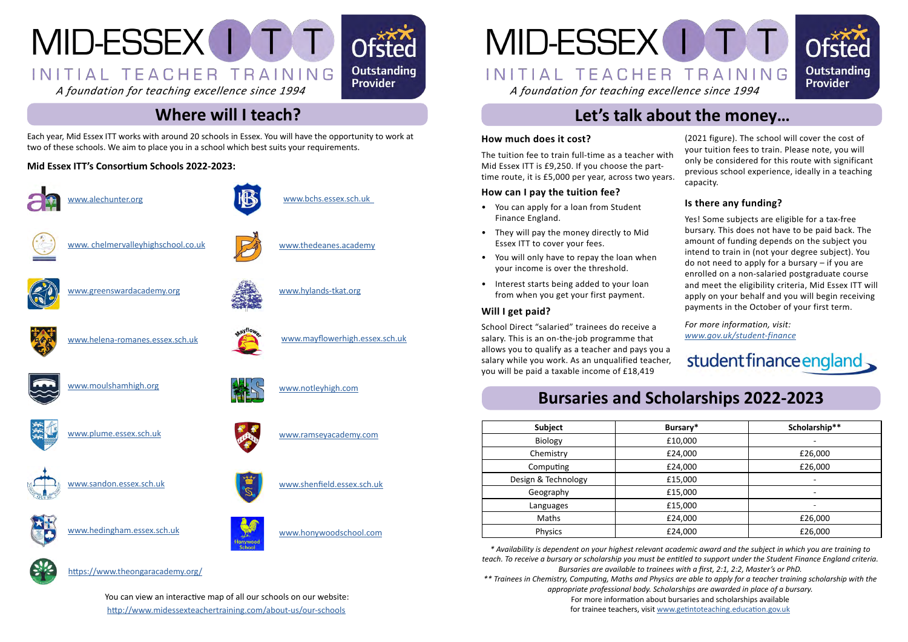# **Where will I teach?**

Each year, Mid Essex ITT works with around 20 schools in Essex. You will have the opportunity to work at two of these schools. We aim to place you in a school which best suits your requirements.

## **Mid Essex ITT's Consortium Schools 2022-2023:**



[www.alechunter.org](http://www.alechunter.org/) www.bchs.essex.sch.uk



[www.](https://www.chelmervalleyhighschool.co.uk/) chelmervalleyhighschool.co.uk and a [www.thedeanes.academy](http://www.thedeanes.academy/)





# **Let's talk about the money…**

## **How much does it cost?**

The tuition fee to train full-time as a teacher with Mid Essex ITT is £9,250. If you choose the parttime route, it is £5,000 per year, across two years.

## **How can I pay the tuition fee?**

- You can apply for a loan from Student Finance England.
- They will pay the money directly to Mid Essex ITT to cover your fees.
- You will only have to repay the loan when your income is over the threshold.
- Interest starts being added to your loan from when you get your first payment.

## **Will I get paid?**

School Direct "salaried" trainees do receive a salary. This is an on-the-job programme that allows you to qualify as a teacher and pays you a salary while you work. As an unqualified teacher, you will be paid a taxable income of £18,419

(2021 figure). The school will cover the cost of your tuition fees to train. Please note, you will only be considered for this route with significant previous school experience, ideally in a teaching capacity.

## **Is there any funding?**

Yes! Some subjects are eligible for a tax-free bursary. This does not have to be paid back. The amount of funding depends on the subject you intend to train in (not your degree subject). You do not need to apply for a bursary – if you are enrolled on a non-salaried postgraduate course and meet the eligibility criteria, Mid Essex ITT will apply on your behalf and you will begin receiving payments in the October of your first term.

*For more information, visit: [www.gov.uk/student-finance](https://www.gov.uk/student-finance)*

# student finance england





[www.greenswardacademy.org](https://sites.google.com/aetinet.org/greenswardwebsite)



[www.helena-romanes.essex.sch.uk](https://www.helena-romanes.essex.sch.uk/)



[www.moulshamhigh.org](https://www.moulshamhigh.org/) [www.notleyhigh.com](https://www.notleyhigh.com/)





[www.plume.essex.sch.uk](https://www.plume.essex.sch.uk/) and a state [www.ramseyacademy.com](http://www.ramseyacademy.com)



[www.sandon.essex.sch.uk](https://www.sandon.essex.sch.uk/) [www.shenfield.essex.sch.uk](http://www.shenfield.essex.sch.uk)



[www.hedingham.essex.sch.uk](http://www.hedingham.essex.sch.uk/) [www.honywoodschool.com](http://www.honywoodschool.com)



[www.hylands-tkat.org](https://www.hylands-tkat.org/)

[www.mayflowerhigh.essex.sch.uk](http://www.mayflowerhigh.essex.sch.uk)

# **Bursaries and Scholarships 2022-2023**

| <b>Subject</b>      | Bursary* | Scholarship** |
|---------------------|----------|---------------|
| Biology             | £10,000  |               |
| Chemistry           | £24,000  | £26,000       |
| Computing           | £24,000  | £26,000       |
| Design & Technology | £15,000  |               |
| Geography           | £15,000  |               |
| Languages           | £15,000  |               |
| Maths               | £24,000  | £26,000       |
| Physics             | £24,000  | £26,000       |

[http://www.midessexteachertraining.com/about-us/our-schools](https://www.midessexteachertraining.com/about-us/our-schools) You can view an interactive map of all our schools on our website: *teach. To receive a bursary or scholarship you must be entitled to support under the Student Finance England criteria.* 



*\* Availability is dependent on your highest relevant academic award and the subject in which you are training to Bursaries are available to trainees with a first, 2:1, 2:2, Master's or PhD. \*\* Trainees in Chemistry, Computing, Maths and Physics are able to apply for a teacher training scholarship with the appropriate professional body. Scholarships are awarded in place of a bursary.* For more information about bursaries and scholarships available for trainee teachers, visit [www.getintoteaching.education.gov.uk](https://getintoteaching.education.gov.uk/funding-my-teacher-training/bursaries-and-scholarships-for-teacher-training)

https://www.theongaracademy.org/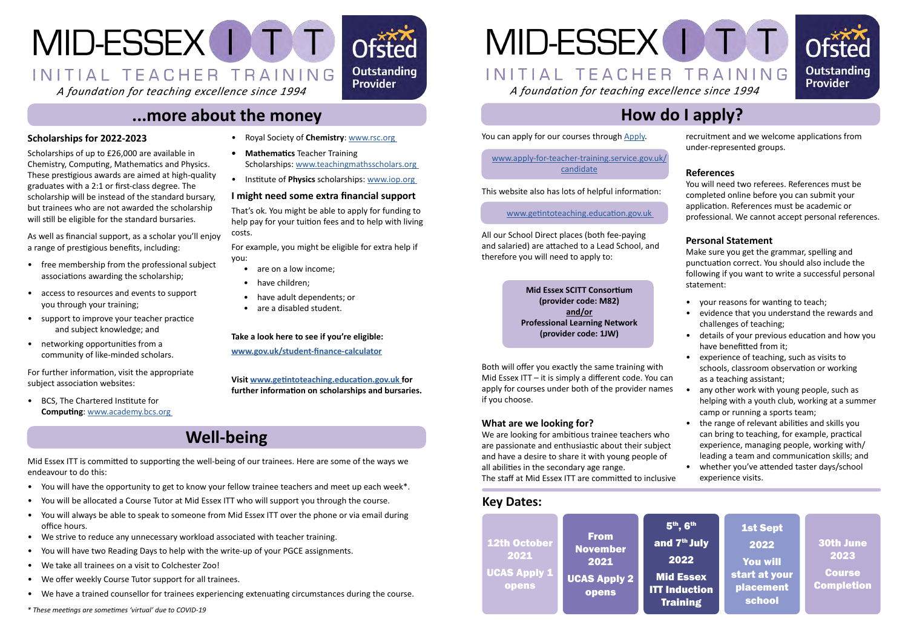## **...more about the money**

# MID-ESSEX I TT Ofstec INITIAL TEACHER TRAINING

*A foundation for teaching excellence since 1994*

# **How do I apply?**

You can apply for our courses through [Apply](http://www.apply-for-teacher-training.service.gov.uk/candidate).

[www.apply-for-teacher-training.service.gov.uk/](https://www.apply-for-teacher-training.service.gov.uk/candidate) [candidate](https://www.apply-for-teacher-training.service.gov.uk/candidate)

This website also has lots of helpful information:

[www.getintoteaching.education.gov.uk](https://getintoteaching.education.gov.uk/) 

All our School Direct places (both fee-paying and salaried) are attached to a Lead School, and therefore you will need to apply to:

> **Mid Essex SCITT Consortium (provider code: M82) and/or Professional Learning Network (provider code: 1JW)**

Both will offer you exactly the same training with Mid Essex ITT – it is simply a different code. You can apply for courses under both of the provider names if you choose.

## **What are we looking for?**

We are looking for ambitious trainee teachers who are passionate and enthusiastic about their subject and have a desire to share it with young people of all abilities in the secondary age range. The staff at Mid Essex ITT are committed to inclusive

recruitment and we welcome applications from under-represented groups.

### **References**

INITIAL TEACHER TRAINING *A foundation for teaching excellence since 1994*

> You will need two referees. References must be completed online before you can submit your application. References must be academic or professional. We cannot accept personal references.

### **Personal Statement**

Make sure you get the grammar, spelling and punctuation correct. You should also include the following if you want to write a successful personal statement:

- your reasons for wanting to teach;
- evidence that you understand the rewards and challenges of teaching;
- details of your previous education and how you have benefitted from it;
- experience of teaching, such as visits to schools, classroom observation or working as a teaching assistant;
- any other work with young people, such as helping with a youth club, working at a summer camp or running a sports team;
- the range of relevant abilities and skills you can bring to teaching, for example, practical experience, managing people, working with/ leading a team and communication skills; and
- whether you've attended taster days/school experience visits.

- are on a low income;
- have children;
- have adult dependents; or
- are a disabled student.

### **Scholarships for 2022-2023**

Scholarships of up to £26,000 are available in Chemistry, Computing, Mathematics and Physics. These prestigious awards are aimed at high-quality graduates with a 2:1 or first-class degree. The scholarship will be instead of the standard bursary, but trainees who are not awarded the scholarship will still be eligible for the standard bursaries.

As well as financial support, as a scholar you'll enjoy a range of prestigious benefits, including:

- free membership from the professional subject associations awarding the scholarship;
- access to resources and events to support you through your training;
- support to improve your teacher practice and subject knowledge; and
- networking opportunities from a community of like-minded scholars.

For further information, visit the appropriate subject association websites:

• BCS, The Chartered Institute for **Computing**: www.[academy.bcs.org](https://www.bcs.org/more/bcs-academy-of-computing/) 

- Royal Society of **Chemistry**: [www.rsc.org](https://www.rsc.org/)
- **• Mathematics** Teacher Training Scholarships: [www.teachingmathsscholars.org](http://teachingmathsscholars.org/home)

**Outstanding** 

**Provider** 

• Institute of **Physics** scholarships: [www.iop.org](https://www.iop.org/) 

### **I might need some extra financial support**

That's ok. You might be able to apply for funding to help pay for your tuition fees and to help with living costs.

For example, you might be eligible for extra help if you:

**Take a look here to see if you're eligible: [www.gov.uk/student-finance-calculator](https://www.gov.uk/student-finance-calculator)**

**Visit [www.getintoteaching.e](https://getintoteaching.education.gov.uk/funding-my-teacher-training/bursaries-and-scholarships-for-teacher-training)ducation.gov.uk for further information on scholarships and bursaries.**

Mid Essex ITT is committed to supporting the well-being of our trainees. Here are some of the ways we endeavour to do this:

- You will have the opportunity to get to know your fellow trainee teachers and meet up each week\*.
- You will be allocated a Course Tutor at Mid Essex ITT who will support you through the course.
- You will always be able to speak to someone from Mid Essex ITT over the phone or via email during office hours.
- We strive to reduce any unnecessary workload associated with teacher training.
- You will have two Reading Days to help with the write-up of your PGCE assignments.
- We take all trainees on a visit to Colchester Zoo!
- We offer weekly Course Tutor support for all trainees.
- We have a trained counsellor for trainees experiencing extenuating circumstances during the course.

# **Well-being**







30th June 2023 Course Completion

## 1st Sept

2022 You will start at your placement school

## **Key Dates:**

*\* These meetings are sometimes 'virtual' due to COVID-19*